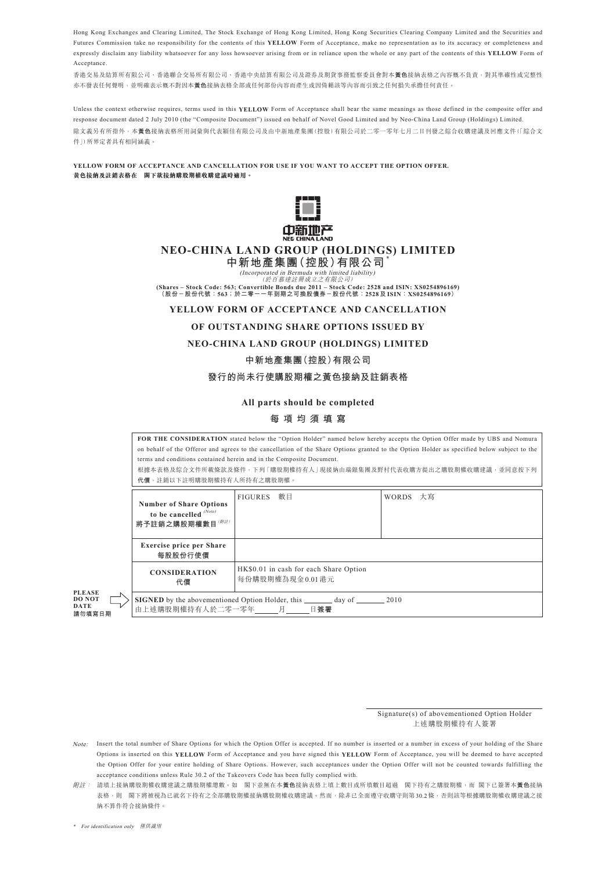Hong Kong Exchanges and Clearing Limited, The Stock Exchange of Hong Kong Limited, Hong Kong Securities Clearing Company Limited and the Securities and Futures Commission take no responsibility for the contents of this YELLOW Form of Acceptance, make no representation as to its accuracy or completeness and expressly disclaim any liability whatsoever for any loss howsoever arising from or in reliance upon the whole or any part of the contents of this **YELLOW** Form of Acceptance.

香港交易及結算所有限公司、香港聯合交易所有限公司、香港中央結算有限公司及證券及期貨事務監察委員會對本**黃色**接納表格之內容概不負責,對其準確性或完整性 亦不發表任何聲明,並明確表示概不對因本**黃色**接納表格全部或任何部份內容而產生或因倚賴該等內容而引致之任何損失承擔任何責任。

Unless the context otherwise requires, terms used in this **YELLOW** Form of Acceptance shall bear the same meanings as those defined in the composite offer and response document dated 2 July 2010 (the "Composite Document") issued on behalf of Novel Good Limited and by Neo-China Land Group (Holdings) Limited. 除文義另有所指外,本**黃色**接納表格所用詞彙與代表穎佳有限公司及由中新地產集團(控股)有限公司於二零一零年七月二日刊發之綜合收購建議及回應文件(「綜合文 件」)所界定者具有相同涵義。

**YELLOW FORM OF ACCEPTANCE AND CANCELLATION FOR USE IF YOU WANT TO ACCEPT THE OPTION OFFER. 黃色接納及註銷表格在 閣下欲接納購股期權收購建議時適用。**



# **NEO-CHINA LAND GROUP (HOLDINGS) LIMITED**

**中新地產集團(控股)有限公司** \*

(Incorporated in Bermuda with limited liability) (於百慕達註冊成立之有限公司)

(Shares – Stock Code: 563; Convertible Bonds due 2011 – Stock Code: 2528 and ISIN: XS0254896169)<br>(股份-股份代號:563;於二零--年到期之可換股債券-股份代號:2528及ISIN:XS0254896169)

**YELLOW FORM OF ACCEPTANCE AND CANCELLATION**

**OF OUTSTANDING SHARE OPTIONS ISSUED BY**

**NEO-CHINA LAND GROUP (HOLDINGS) LIMITED**

**中新地產集團(控股)有限公司**

**發行的尚未行使購股期權之黃色接納及註銷表格**

### **All parts should be completed**

## **每項均須填寫**

**FOR THE CONSIDERATION** stated below the "Option Holder" named below hereby accepts the Option Offer made by UBS and Nomura on behalf of the Offeror and agrees to the cancellation of the Share Options granted to the Option Holder as specified below subject to the terms and conditions contained herein and in the Composite Document. 根據本表格及綜合文件所載條款及條件,下列「購股期權持有人」現接納由瑞銀集團及野村代表收購方提出之購股期權收購建議,並同意按下列 **代價**,註銷以下註明購股期權持有人所持有之購股期權。

| <b>Number of Share Options</b><br>to be cancelled $^{(Note)}$<br>將予註銷之購股期權數目(附註)                | FIGURES 數目                                                | WORDS 大寫 |
|-------------------------------------------------------------------------------------------------|-----------------------------------------------------------|----------|
| Exercise price per Share<br>每股股份行使價                                                             |                                                           |          |
| <b>CONSIDERATION</b><br>代價                                                                      | HK\$0.01 in cash for each Share Option<br>每份購股期權為現金0.01港元 |          |
| <b>SIGNED</b> by the abovementioned Option Holder, this day of 2010<br>由上述購股期權持有人於二零一零年___月 日簽署 |                                                           |          |

**PLEASE DO NOT**  $\Box$ **DATE あれ1日**<br>請勿填寫日期

> Signature(s) of abovementioned Option Holder 上述購股期權持有人簽署

- Note: Insert the total number of Share Options for which the Option Offer is accepted. If no number is inserted or a number in excess of your holding of the Share Options is inserted on this **YELLOW** Form of Acceptance and you have signed this **YELLOW** Form of Acceptance, you will be deemed to have accepted the Option Offer for your entire holding of Share Options. However, such acceptances under the Option Offer will not be counted towards fulfilling the acceptance conditions unless Rule 30.2 of the Takeovers Code has been fully complied with.
- 附註: 請填上接納購股期權收購建議之購股期權總數。如 閣下並無在本**黃色**接納表格上填上數目或所填數目超過 閣下持有之購股期權,而 閣下已簽署本**黃色**接納 表格,則 閣下將被視為已就名下持有之全部購股期權接納購股期權收購建議。然而,除非已全面遵守收購守則第30.2條,否則該等根據購股期權收購建議之接 納不算作符合接納條件。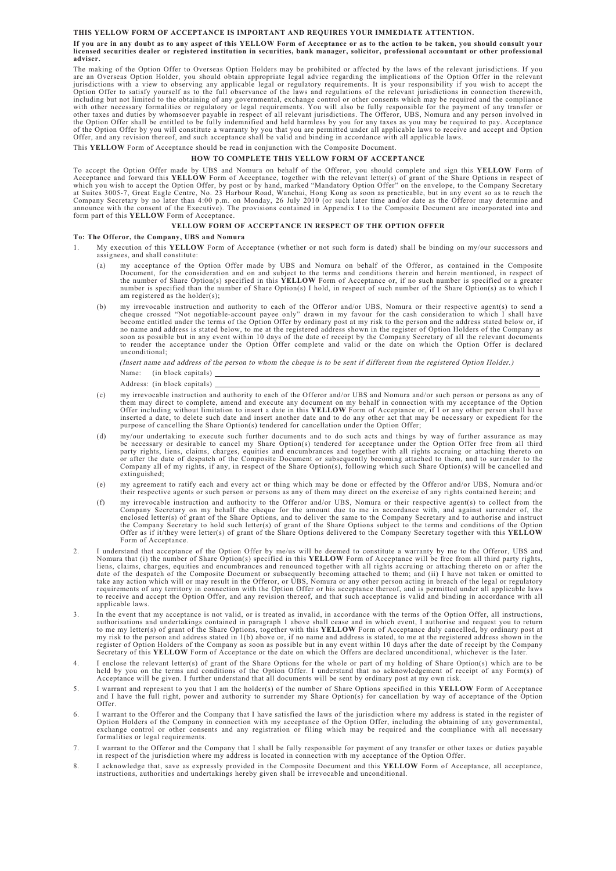#### **THIS YELLOW FORM OF ACCEPTANCE IS IMPORTANT AND REQUIRES YOUR IMMEDIATE ATTENTION.**

#### **If you are in any doubt as to any aspect of this YELLOW Form of Acceptance or as to the action to be taken, you should consult your licensed securities dealer or registered institution in securities, bank manager, solicitor, professional accountant or other professional adviser.**

The making of the Option Offer to Overseas Option Holders may be prohibited or affected by the laws of the relevant jurisdictions. If you<br>are an Overseas Option Holder, you should obtain appropriate legal advice regarding with other necessary formalities or regulatory or legal requirements. You will also be fully responsible for the payment of any transfer or other taxes and duties by whomsoever payable in respect of all relevant jurisdictions. The Offeror, UBS, Nomura and any person involved in<br>the Option Offer shall be entitled to be fully indemnified and held harmless by you

### This **YELLOW** Form of Acceptance should be read in conjunction with the Composite Document.

#### **HOW TO COMPLETE THIS YELLOW FORM OF ACCEPTANCE**

To accept the Option Offer made by UBS and Nomura on behalf of the Offeror, you should complete and sign this YELLOW Form of<br>Acceptance and forward this YELLOW Form of Acceptance, together with the relevant letter(s) of gr at Suites 3005-7, Great Eagle Centre, No. 23 Harbour Road, Wanchai, Hong Kong as soon as practicable, but in any event so as to reach the<br>Company Secretary by no later than 4:00 p.m. on Monday, 26 July 2010 (or such later form part of this **YELLOW** Form of Acceptance.

#### **YELLOW FORM OF ACCEPTANCE IN RESPECT OF THE OPTION OFFER**

#### **To: The Offeror, the Company, UBS and Nomura**

- 1. My execution of this **YELLOW** Form of Acceptance (whether or not such form is dated) shall be binding on my/our successors and assignees, and shall constitute:
	- (a) my acceptance of the Option Offer made by UBS and Nomura on behalf of the Offeror, as contained in the Composite Document, for the consideration and on and subject to the terms and conditions therein and herein mention number is specified than the number of Share Option(s) I hold, in respect of such number of the Share Option(s) as to which I am registered as the holder(s);
	- (b) my irrevocable instruction and authority to each of the Offeror and/or UBS, Nomura or their respective agent(s) to send a cheque crossed "Not negotiable-account payee only" drawn in my favour for the cash consideration no name and address is stated below, to me at the registered address shown in the register of Option Holders of the Company as<br>soon as possible but in any event within 10 days of the date of receipt by the Company Secretar to render the acceptance under the Option Offer complete and valid or the date on which the Option Offer is declared unconditional;

(Insert name and address of the person to whom the cheque is to be sent if different from the registered Option Holder.)

- 
- (c) my irrevocable instruction and authority to each of the Offeror and/or UBS and Nomura and/or such person or persons as any of them may direct to complete, amend and execute any document on my behalf in connection with my acceptance of the Option<br>Offer including without limitation to insert a date in this YELLOW Form of Acceptance or, if I or any inserted a date, to delete such date and insert another date and to do any other act that may be necessary or expedient for the purpose of cancelling the Share Option(s) tendered for cancellation under the Option Offer;
- (d) my/our undertaking to execute such further documents and to do such acts and things by way of further assurance as may be necessary or desirable to cancel my Share Option(s) tendered for acceptance under the Option Offer free from all third party rights, liens, claims, charges, equities and encumbrances and together with all rights accruing or attaching thereto on<br>or after the date of despatch of the Composite Document or subsequently becoming attached to the Company all of my rights, if any, in respect of the Share Option(s), following which such Share Option(s) will be cancelled and extinguished;
- (e) my agreement to ratify each and every act or thing which may be done or effected by the Offeror and/or UBS, Nomura and/or their respective agents or such person or persons as any of them may direct on the exercise of any rights contained herein; and
- (f) my irrevocable instruction and authority to the Offeror and/or UBS, Nomura or their respective agent(s) to collect from the Company Secretary on my behalf the cheque for the amount due to me in accordance with, and against surrender of, the enclosed letter(s) of grant of the Share Options, and to deliver the same to the Company Secretary and to Form of Acceptance.
- 2. I understand that acceptance of the Option Offer by me/us will be deemed to constitute a warranty by me to the Offeror, UBS and<br>Nomura that (i) the number of Share Option(s) specified in this **YELLOW** Form of Acceptance date of the despatch of the Composite Document or subsequently becoming attached to them; and (ii) I have not taken or omitted to<br>take any action which will or may result in the Offeror, or UBS, Nomura or any other person to receive and accept the Option Offer, and any revision thereof, and that such acceptance is valid and binding in accordance with all applicable laws.
- 3. In the event that my acceptance is not valid, or is treated as invalid, in accordance with the terms of the Option Offer, all instructions, authorisations and undertakings contained in paragraph 1 above shall cease and my risk to the person and address stated in 1(b) above or, if no name and address is stated, to me at the registered address shown in the register of Option Holders of the Company as soon as possible but in any event within 10 days after the date of receipt by the Company<br>Secretary of this YELLOW Form of Acceptance or the date on which the Offers are declare
- 4. I enclose the relevant letter(s) of grant of the Share Options for the whole or part of my holding of Share Option(s) which are to be held by you on the terms and conditions of the Option Offer. I understand that no ack Acceptance will be given. I further understand that all documents will be sent by ordinary post at my own risk.
- 5. I warrant and represent to you that I am the holder(s) of the number of Share Options specified in this **YELLOW** Form of Acceptance and I have the full right, power and authority to surrender my Share Option(s) for cancellation by way of acceptance of the Option Offer.
- 6. I warrant to the Offeror and the Company that I have satisfied the laws of the jurisdiction where my address is stated in the register of Option Holders of the Company in connection with my acceptance of the Option Offer, including the obtaining of any governmental,<br>exchange control or other consents and any registration or filing which may be required and t formalities or legal requirements.
- 7. I warrant to the Offeror and the Company that I shall be fully responsible for payment of any transfer or other taxes or duties payable in respect of the jurisdiction where my address is located in connection with my ac
- 8. I acknowledge that, save as expressly provided in the Composite Document and this **YELLOW** Form of Acceptance, all acceptance, instructions, authorities and undertakings hereby given shall be irrevocable and unconditional.

Name: (in block capitals) Address: (in block capitals)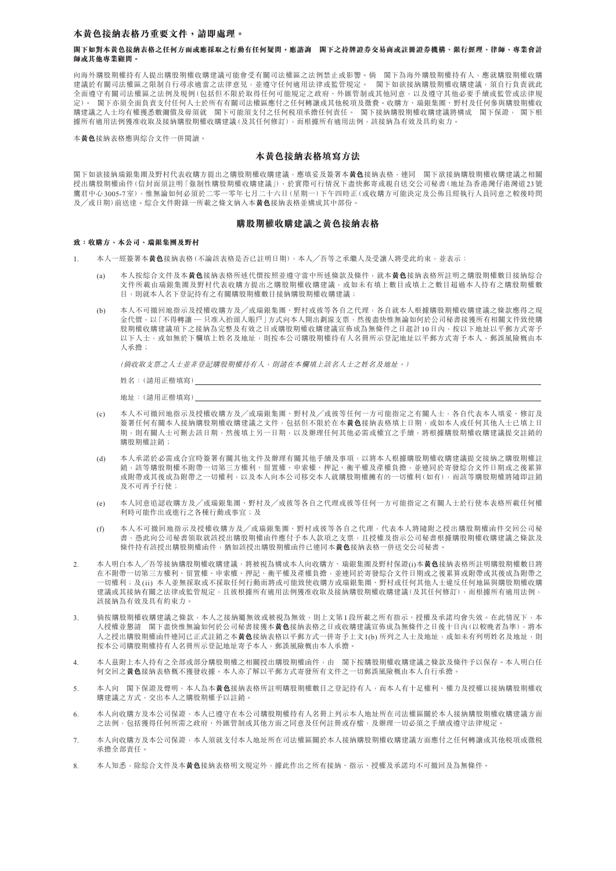#### **本黃色接納表格乃重要文件,請即處理。**

#### **閣下如對本黃色接納表格之任何方面或應採取之行動有任何疑問,應諮詢 閣下之持牌證券交易商或註冊證券機構、銀行經理、律師、專業會計 師或其他專業顧問。**

向海外購股期權持有人提出購股期權收購建商行會受有關司法權區之法例禁止或影響。倘 閣下為海外購股期權持有人,應就購股期權收購 建議於有關司法權區之限制自行尋求適當之法律意見,並遵守任何適用法律或監管規定。 閣下如欲接納購股期權收購建議,須自行負責就此 全面遵守有關司法權區之法例及規例(包括但不限於取得任何可能規定之政府、外匯管制或其他同意,以及遵守其他必要手續或監管或法律規 定)。 閣下亦須全面負責支付任何人士於所有有關司法權區應付之任何轉讓或其他稅項及徵費。收購方、瑞銀集團、野村及任何參與購股期權收 購建議之人士均有權獲悉數彌償及毋須就 閣下可能須支付之任何税項承擔任何責任。 閣下接納購股期權收購建議將構成 閣下保證, 閣下根 據所有適用法例獲准收取及接納購股期權收購建議(及其任何修訂),而根據所有適用法例,該接納為有效及具約束力。

本**黃色**接納表格應與綜合文件一併閱讀。

## **本黃色接納表格填寫方法**

閣下如欲接納瑞銀集團及野村代表收購方提出之購股期權收購建議,應填妥及簽署本**黃色**接納表格,連同 閣下欲接納購股期權收購建議之相關 授出購股期權函件(信封面須註明「強制性購股期權收購建議」),於實際可行情況下盡快郵寄或親自送交公司秘書(地址為香港灣仔港灣道23號 鷹君中心3005-7室),惟無論如何必須於二零一零年七月二十六日(星期一)下午四時正(或收購方可能決定及公佈且經執行人員同意之較後時間 及╱或日期)前送達。綜合文件附錄一所載之條文納入本**黃色**接納表格並構成其中部份。

#### **購股期權收購建議之黃色接納表格**

### **致:收購方、本公司、瑞銀集團及野村**

- 1. 本人一經簽署本**黃色**接納表格(不論該表格是否已註明日期),本人╱吾等之承繼人及受讓人將受此約束,並表示:
	- (a) 本人按綜合文件及本**黃色**接納表格所述代價按照並遵守當中所述條款及條件,就本**黃色**接納表格所註明之購股期權數目接納綜合 文件所載由瑞銀集團及野村代表收購方提出之購股期權收購建議,或如未有填上數目或填上之數目超過本人持有之購股期權數 日,則就本人名下登記持有之有關購股期權數日接納購股期權收購建議;
	- (b) 本人不可撤回地指示及授權收購方及╱或瑞銀集團、野村或彼等各自之代理,各自就本人根據購股期權收購建議之條款應得之現 金代價,以「不得轉讓 — 只准入抬頭人賬戶」方式向本人開出劃線支票,然後盡快惟無論如何於公司秘書接獲所有相關文件致使購 股期權收購建議項下之接納為完整及有效之日或購股期權收購建議宣佈成為無條件之日起計10日內,按以下地址以平郵方式寄予 以下人士, 或加無於下欄填上姓名及地址,則按本公司購股期權持有人名冊所示登記地址以平郵方式客予本人,郵誤風險概由本 人承擔;

(倘收取支票之人士並非登記購股期權持有人,則請在本欄填上該名人士之姓名及地址。)

```
姓名:(請用正楷填寫)
```
地址:(請用正楷填寫)

- (c) 本人不可撤回地指示及授權收購方及╱或瑞銀集團、野村及╱或彼等任何一方可能指定之有關人士,各自代表本人填妥、修訂及 簽署任何有關本人接納購股期權收購建議之文件,包括但不限於在本**黃色**接納表格填上日期,或如本人或任何其他人士已填上日 期,則有關人士可刪去該日期,然後填上另一日期,以及辦理任何其他必需或權宜之手續,將根據購股期權收購建議提交註銷的 購股期權註銷;
- (d) 本人承諾於必需或合宜時簽署有關其他文件及辦理有關其他手續及事項,以將本人根據購股期權收購建議提交接納之購股期權註 銷,該等購股期權不附帶一切第三方權利、留置權、申索權、押記、衡平權及產權負擔,並連同於寄發綜合文件日期或之後累算 或附帶或其後成為附帶之一切權利,以及本人向本公司移交本人就購股期權擁有的一切權利(如有),而該等購股期權將隨即註銷 及不可再予行使;
- (e) 本人同意追認收購方及╱或瑞銀集團、野村及╱或彼等各自之代理或彼等任何一方可能指定之有關人士於行使本表格所載任何權 利時可能作出或進行之各種行動或事宜;及
- (f) 本人不可撤回地指示及授權收購方及╱或瑞銀集團、野村或彼等各自之代理,代表本人將隨附之授出購股期權函件交回公司秘 書,憑此向公司秘書領取就該授出購股期權函件應付予本人款項之支票,且授權及指示公司秘書根據購股期權收購建議之條款及 條件持有該授出購股期權函件,猶如該授出購股期權函件已連同本**黃色**接納表格一併送交公司秘書。
- 2. 本人明白本人╱吾等接納購股期權收購建議,將被視為構成本人向收購方、瑞銀集團及野村保證(i)本**黃色**接納表格所註明購股期權數目將 在不附帶一切第三方權利、留置權、申索權、押記、衡平權及產權負擔,並連同於寄發綜合文件日期或之後累算或附帶或其後成為附帶之 一切權利;及(ii) 本人並無採取或不採取任何行動而將或可能致使收購方或瑞銀集團、野村或任何其他人士違反任何地區與購股期權收購 建議或其接納有關之法律或監管規定,且彼根據所有適用法例獲准收取及接納購股期權收購建議(及其任何修訂),而根據所有適用法例 該接納為有效及具有約束力。
- 3. 倘按購股期權收購建議之條款,本人之接納屬無效或被視為無效,則上文第1段所載之所有指示、授權及承諾均會失效。在此情況下,本 人授權並懇請 閣下盡快惟無論如何於公司秘書接獲本**黃色**接納表格之日或收購建議宣佈成為無條件之日後十日內(以較晚者為準),將本 人之授出購股期權函件連同已正式註銷之本**黃色**接納表格以平郵方式一併寄予上文1(b) 所列之人士及地址,或如未有列明姓名及地址,則 按本公司購股期權持有人名冊所示登記地址寄予本人,郵誤風險概由本人承擔。
- 4. 本人茲附上本人持有之全部或部分購股期權之相關授出購股期權函件,由 閣下按購股期權收購建議之條款及條件予以保存。本人明白任 何交回之**黃色**接納表格概不獲發收據。本人亦了解以平郵方式寄發所有文件之一切郵誤風險概由本人自行承擔。
- 5. 本人向 閣下保證及聲明,本人為本**黃色**接納表格所註明購股期權數目之登記持有人,而本人有十足權利、權力及授權以接納購股期權收 購建議之方式,交出本人之購股期權予以註銷。
- 6. 本人向收購方及本公司保證,本人已遵守在本公司購股期權持有人名冊上列示本人地址所在司法權區關於本人接納購股期權收購建議方面 之法例,包括獲得任何所需之政府、外匯管制或其他方面之同意及任何註冊或存檔,及辦理一切必須之手續或遵守法律規定。
- 7. 本人向收購方及本公司保證,本人須就支付本人地址所在司法權區關於本人接納購股期權收購建議方面應付之任何轉讓或其他稅項或徵稅 承擔全部責任。
- 8. 本人知悉,除綜合文件及本**黃色**接納表格明文規定外,據此作出之所有接納、指示、授權及承諾均不可撤回及為無條件。